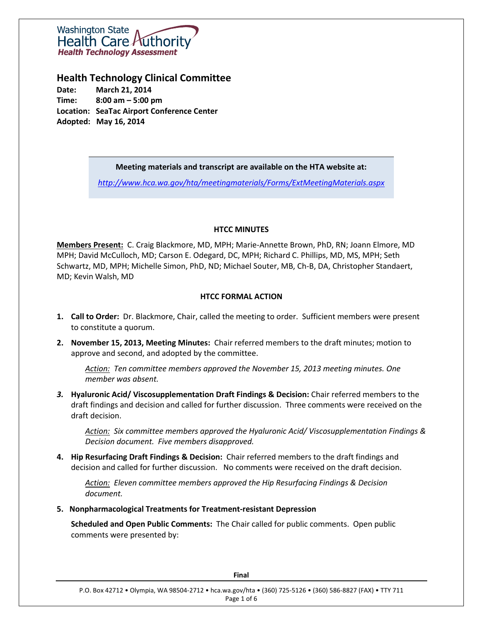

## **Health Technology Clinical Committee**

**Date: March 21, 2014 Time: 8:00 am – 5:00 pm Location: SeaTac Airport Conference Center Adopted: May 16, 2014**

#### **Meeting materials and transcript are available on the HTA website at:**

*<http://www.hca.wa.gov/hta/meetingmaterials/Forms/ExtMeetingMaterials.aspx>*

#### **HTCC MINUTES**

**Members Present:** C. Craig Blackmore, MD, MPH; Marie-Annette Brown, PhD, RN; Joann Elmore, MD MPH; David McCulloch, MD; Carson E. Odegard, DC, MPH; Richard C. Phillips, MD, MS, MPH; Seth Schwartz, MD, MPH; Michelle Simon, PhD, ND; Michael Souter, MB, Ch-B, DA, Christopher Standaert, MD; Kevin Walsh, MD

## **HTCC FORMAL ACTION**

- **1. Call to Order:** Dr. Blackmore, Chair, called the meeting to order. Sufficient members were present to constitute a quorum.
- **2. November 15, 2013, Meeting Minutes:** Chair referred members to the draft minutes; motion to approve and second, and adopted by the committee.

*Action: Ten committee members approved the November 15, 2013 meeting minutes. One member was absent.*

*3.* **Hyaluronic Acid/ Viscosupplementation Draft Findings & Decision:** Chair referred members to the draft findings and decision and called for further discussion. Three comments were received on the draft decision.

*Action: Six committee members approved the Hyaluronic Acid/ Viscosupplementation Findings & Decision document. Five members disapproved.*

**4. Hip Resurfacing Draft Findings & Decision:** Chair referred members to the draft findings and decision and called for further discussion. No comments were received on the draft decision.

*Action: Eleven committee members approved the Hip Resurfacing Findings & Decision document.* 

**5. Nonpharmacological Treatments for Treatment-resistant Depression**

**Scheduled and Open Public Comments:** The Chair called for public comments. Open public comments were presented by: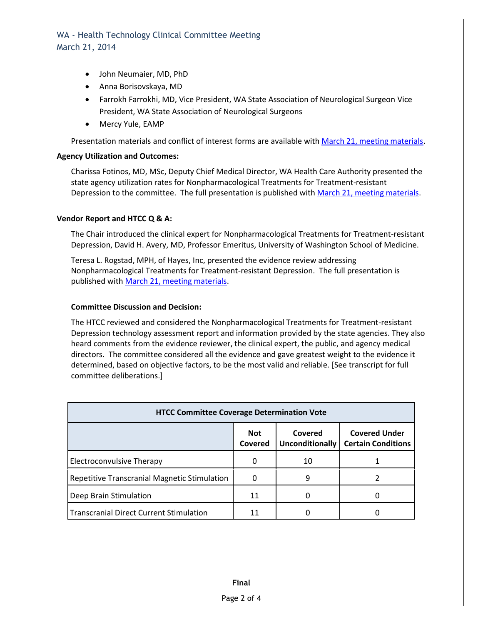- John Neumaier, MD, PhD
- Anna Borisovskaya, MD
- Farrokh Farrokhi, MD, Vice President, WA State Association of Neurological Surgeon Vice President, WA State Association of Neurological Surgeons
- Mercy Yule, EAMP

Presentation materials and conflict of interest forms are available wit[h March 21, meeting materials.](http://www.hca.wa.gov/hta/meetingmaterials/Forms/ExtMeetingMaterials.aspx)

#### **Agency Utilization and Outcomes:**

Charissa Fotinos, MD, MSc, Deputy Chief Medical Director, WA Health Care Authority presented the state agency utilization rates for Nonpharmacological Treatments for Treatment-resistant Depression to the committee. The full presentation is published with [March 21, meeting materials.](http://www.hca.wa.gov/hta/meetingmaterials/Forms/ExtMeetingMaterials.aspx)

#### **Vendor Report and HTCC Q & A:**

The Chair introduced the clinical expert for Nonpharmacological Treatments for Treatment-resistant Depression, David H. Avery, MD, Professor Emeritus, University of Washington School of Medicine.

Teresa L. Rogstad, MPH, of Hayes, Inc, presented the evidence review addressing Nonpharmacological Treatments for Treatment-resistant Depression. The full presentation is published wit[h March 21, meeting materials.](http://www.hca.wa.gov/hta/meetingmaterials/Forms/ExtMeetingMaterials.aspx)

#### **Committee Discussion and Decision:**

The HTCC reviewed and considered the Nonpharmacological Treatments for Treatment-resistant Depression technology assessment report and information provided by the state agencies. They also heard comments from the evidence reviewer, the clinical expert, the public, and agency medical directors. The committee considered all the evidence and gave greatest weight to the evidence it determined, based on objective factors, to be the most valid and reliable. [See transcript for full committee deliberations.]

| <b>HTCC Committee Coverage Determination Vote</b> |                              |                                   |                                                   |  |
|---------------------------------------------------|------------------------------|-----------------------------------|---------------------------------------------------|--|
|                                                   | <b>Not</b><br><b>Covered</b> | Covered<br><b>Unconditionally</b> | <b>Covered Under</b><br><b>Certain Conditions</b> |  |
| Electroconvulsive Therapy                         | Ω                            | 10                                |                                                   |  |
| Repetitive Transcranial Magnetic Stimulation      | 0                            | 9                                 |                                                   |  |
| Deep Brain Stimulation                            | 11                           | O                                 |                                                   |  |
| <b>Transcranial Direct Current Stimulation</b>    | 11                           |                                   |                                                   |  |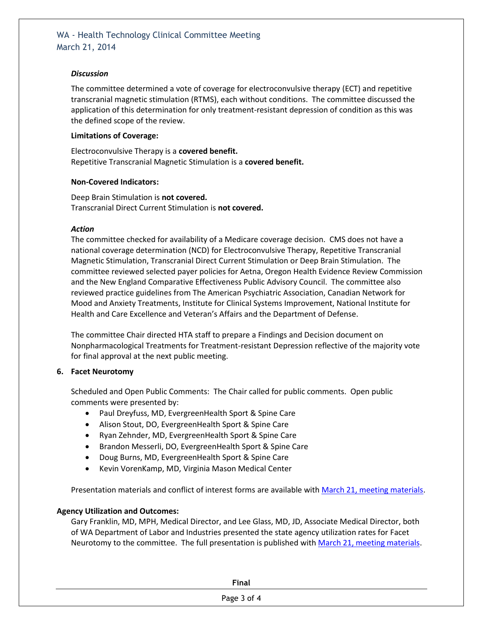#### *Discussion*

The committee determined a vote of coverage for electroconvulsive therapy (ECT) and repetitive transcranial magnetic stimulation (RTMS), each without conditions. The committee discussed the application of this determination for only treatment-resistant depression of condition as this was the defined scope of the review.

#### **Limitations of Coverage:**

Electroconvulsive Therapy is a **covered benefit.** Repetitive Transcranial Magnetic Stimulation is a **covered benefit.**

#### **Non-Covered Indicators:**

Deep Brain Stimulation is **not covered.** Transcranial Direct Current Stimulation is **not covered.**

#### *Action*

The committee checked for availability of a Medicare coverage decision. CMS does not have a national coverage determination (NCD) for Electroconvulsive Therapy, Repetitive Transcranial Magnetic Stimulation, Transcranial Direct Current Stimulation or Deep Brain Stimulation. The committee reviewed selected payer policies for Aetna, Oregon Health Evidence Review Commission and the New England Comparative Effectiveness Public Advisory Council. The committee also reviewed practice guidelines from The American Psychiatric Association, Canadian Network for Mood and Anxiety Treatments, Institute for Clinical Systems Improvement, National Institute for Health and Care Excellence and Veteran's Affairs and the Department of Defense.

The committee Chair directed HTA staff to prepare a Findings and Decision document on Nonpharmacological Treatments for Treatment-resistant Depression reflective of the majority vote for final approval at the next public meeting.

## **6. Facet Neurotomy**

Scheduled and Open Public Comments: The Chair called for public comments. Open public comments were presented by:

- Paul Dreyfuss, MD, EvergreenHealth Sport & Spine Care
- Alison Stout, DO, EvergreenHealth Sport & Spine Care
- Ryan Zehnder, MD, EvergreenHealth Sport & Spine Care
- Brandon Messerli, DO, EvergreenHealth Sport & Spine Care
- Doug Burns, MD, EvergreenHealth Sport & Spine Care
- Kevin VorenKamp, MD, Virginia Mason Medical Center

Presentation materials and conflict of interest forms are available wit[h March 21, meeting materials.](http://www.hca.wa.gov/hta/meetingmaterials/Forms/ExtMeetingMaterials.aspx)

## **Agency Utilization and Outcomes:**

Gary Franklin, MD, MPH, Medical Director, and Lee Glass, MD, JD, Associate Medical Director, both of WA Department of Labor and Industries presented the state agency utilization rates for Facet Neurotomy to the committee. The full presentation is published with [March 21, meeting materials.](http://www.hca.wa.gov/hta/meetingmaterials/Forms/ExtMeetingMaterials.aspx)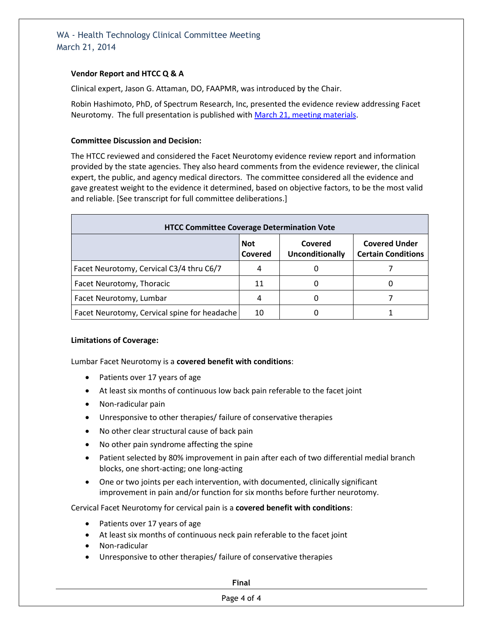## **Vendor Report and HTCC Q & A**

Clinical expert, Jason G. Attaman, DO, FAAPMR, was introduced by the Chair.

Robin Hashimoto, PhD, of Spectrum Research, Inc, presented the evidence review addressing Facet Neurotomy. The full presentation is published wit[h March 21, meeting materials.](http://www.hca.wa.gov/hta/meetingmaterials/Forms/ExtMeetingMaterials.aspx)

## **Committee Discussion and Decision:**

The HTCC reviewed and considered the Facet Neurotomy evidence review report and information provided by the state agencies. They also heard comments from the evidence reviewer, the clinical expert, the public, and agency medical directors. The committee considered all the evidence and gave greatest weight to the evidence it determined, based on objective factors, to be the most valid and reliable. [See transcript for full committee deliberations.]

| <b>HTCC Committee Coverage Determination Vote</b> |                       |                                   |                                                   |  |
|---------------------------------------------------|-----------------------|-----------------------------------|---------------------------------------------------|--|
|                                                   | <b>Not</b><br>Covered | Covered<br><b>Unconditionally</b> | <b>Covered Under</b><br><b>Certain Conditions</b> |  |
| Facet Neurotomy, Cervical C3/4 thru C6/7          | 4                     |                                   |                                                   |  |
| Facet Neurotomy, Thoracic                         | 11                    |                                   |                                                   |  |
| Facet Neurotomy, Lumbar                           |                       |                                   |                                                   |  |
| Facet Neurotomy, Cervical spine for headache      | 10                    |                                   |                                                   |  |

## **Limitations of Coverage:**

Lumbar Facet Neurotomy is a **covered benefit with conditions**:

- Patients over 17 years of age
- At least six months of continuous low back pain referable to the facet joint
- Non-radicular pain
- Unresponsive to other therapies/ failure of conservative therapies
- No other clear structural cause of back pain
- No other pain syndrome affecting the spine
- Patient selected by 80% improvement in pain after each of two differential medial branch blocks, one short-acting; one long-acting
- One or two joints per each intervention, with documented, clinically significant improvement in pain and/or function for six months before further neurotomy.

Cervical Facet Neurotomy for cervical pain is a **covered benefit with conditions**:

- Patients over 17 years of age
- At least six months of continuous neck pain referable to the facet joint
- Non-radicular
- Unresponsive to other therapies/ failure of conservative therapies

**Final**

## Page 4 of 4